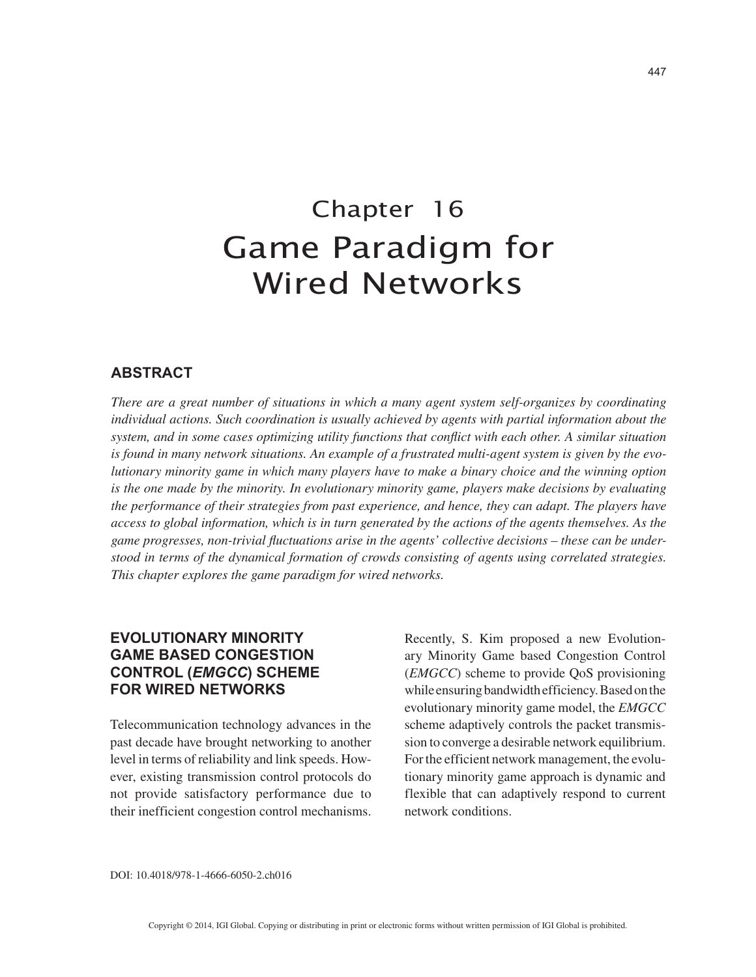# Chapter 16 Game Paradigm for Wired Networks

## **ABSTRACT**

*There are a great number of situations in which a many agent system self-organizes by coordinating individual actions. Such coordination is usually achieved by agents with partial information about the system, and in some cases optimizing utility functions that conflict with each other. A similar situation is found in many network situations. An example of a frustrated multi-agent system is given by the evolutionary minority game in which many players have to make a binary choice and the winning option is the one made by the minority. In evolutionary minority game, players make decisions by evaluating the performance of their strategies from past experience, and hence, they can adapt. The players have access to global information, which is in turn generated by the actions of the agents themselves. As the game progresses, non-trivial fluctuations arise in the agents' collective decisions – these can be understood in terms of the dynamical formation of crowds consisting of agents using correlated strategies. This chapter explores the game paradigm for wired networks.*

## **EVOLUTIONARY MINORITY GAME BASED CONGESTION CONTROL (***EMGCC***) SCHEME FOR WIRED NETWORKS**

Telecommunication technology advances in the past decade have brought networking to another level in terms of reliability and link speeds. However, existing transmission control protocols do not provide satisfactory performance due to their inefficient congestion control mechanisms. Recently, S. Kim proposed a new Evolutionary Minority Game based Congestion Control (*EMGCC*) scheme to provide QoS provisioning while ensuring bandwidth efficiency. Based on the evolutionary minority game model, the *EMGCC* scheme adaptively controls the packet transmission to converge a desirable network equilibrium. For the efficient network management, the evolutionary minority game approach is dynamic and flexible that can adaptively respond to current network conditions.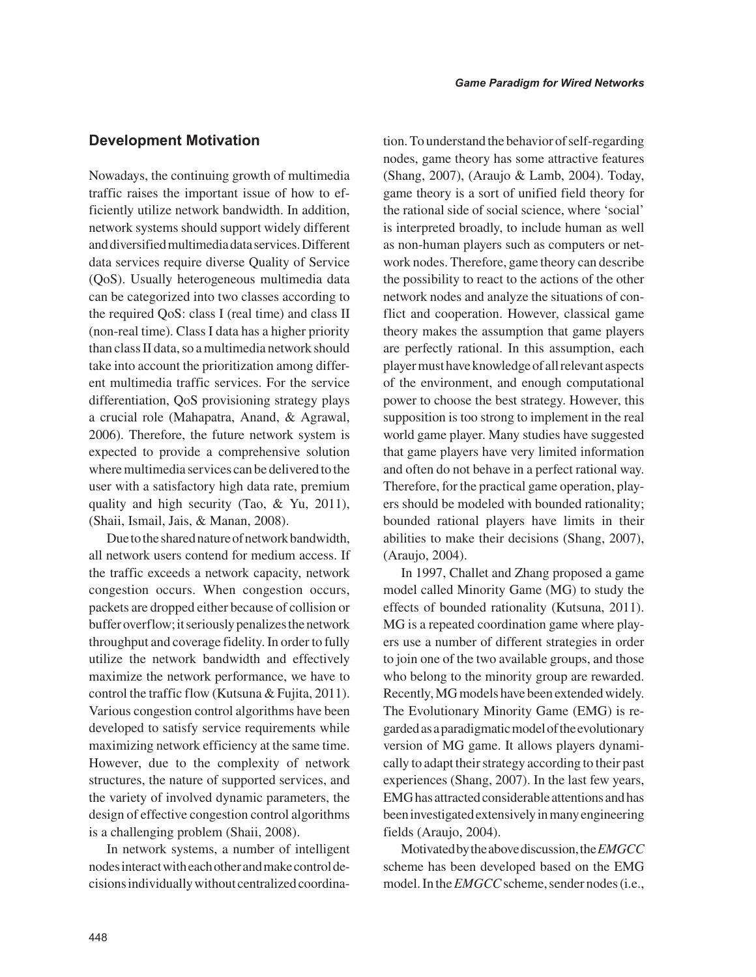### **Development Motivation**

Nowadays, the continuing growth of multimedia traffic raises the important issue of how to efficiently utilize network bandwidth. In addition, network systems should support widely different and diversified multimedia data services. Different data services require diverse Quality of Service (QoS). Usually heterogeneous multimedia data can be categorized into two classes according to the required QoS: class I (real time) and class II (non-real time). Class I data has a higher priority than class II data, so a multimedia network should take into account the prioritization among different multimedia traffic services. For the service differentiation, QoS provisioning strategy plays a crucial role (Mahapatra, Anand, & Agrawal, 2006). Therefore, the future network system is expected to provide a comprehensive solution where multimedia services can be delivered to the user with a satisfactory high data rate, premium quality and high security (Tao, & Yu, 2011), (Shaii, Ismail, Jais, & Manan, 2008).

Due to the shared nature of network bandwidth, all network users contend for medium access. If the traffic exceeds a network capacity, network congestion occurs. When congestion occurs, packets are dropped either because of collision or buffer overflow; it seriously penalizes the network throughput and coverage fidelity. In order to fully utilize the network bandwidth and effectively maximize the network performance, we have to control the traffic flow (Kutsuna & Fujita, 2011). Various congestion control algorithms have been developed to satisfy service requirements while maximizing network efficiency at the same time. However, due to the complexity of network structures, the nature of supported services, and the variety of involved dynamic parameters, the design of effective congestion control algorithms is a challenging problem (Shaii, 2008).

In network systems, a number of intelligent nodes interact with each other and make control decisions individually without centralized coordination. To understand the behavior of self-regarding nodes, game theory has some attractive features (Shang, 2007), (Araujo & Lamb, 2004). Today, game theory is a sort of unified field theory for the rational side of social science, where 'social' is interpreted broadly, to include human as well as non-human players such as computers or network nodes. Therefore, game theory can describe the possibility to react to the actions of the other network nodes and analyze the situations of conflict and cooperation. However, classical game theory makes the assumption that game players are perfectly rational. In this assumption, each player must have knowledge of all relevant aspects of the environment, and enough computational power to choose the best strategy. However, this supposition is too strong to implement in the real world game player. Many studies have suggested that game players have very limited information and often do not behave in a perfect rational way. Therefore, for the practical game operation, players should be modeled with bounded rationality; bounded rational players have limits in their abilities to make their decisions (Shang, 2007), (Araujo, 2004).

In 1997, Challet and Zhang proposed a game model called Minority Game (MG) to study the effects of bounded rationality (Kutsuna, 2011). MG is a repeated coordination game where players use a number of different strategies in order to join one of the two available groups, and those who belong to the minority group are rewarded. Recently, MG models have been extended widely. The Evolutionary Minority Game (EMG) is regarded as a paradigmatic model of the evolutionary version of MG game. It allows players dynamically to adapt their strategy according to their past experiences (Shang, 2007). In the last few years, EMG has attracted considerable attentions and has been investigated extensively in many engineering fields (Araujo, 2004).

Motivated by the above discussion, the *EMGCC* scheme has been developed based on the EMG model. In the *EMGCC* scheme, sender nodes (i.e.,